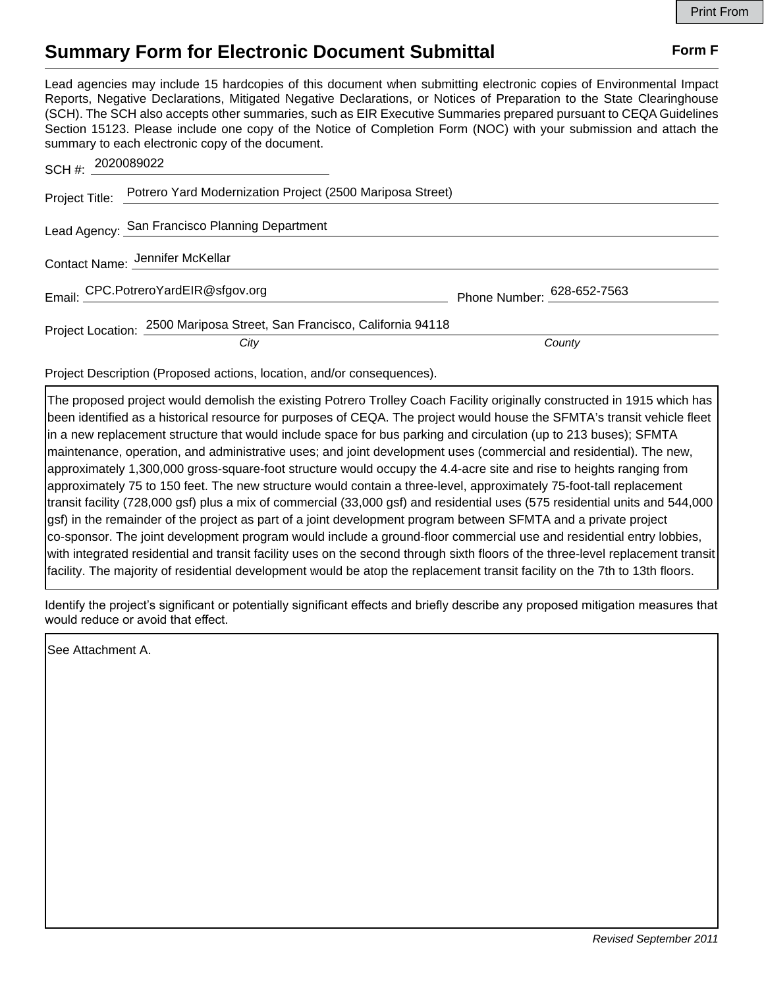## **Summary Form for Electronic Document Submittal Form F Form F**

Lead agencies may include 15 hardcopies of this document when submitting electronic copies of Environmental Impact Reports, Negative Declarations, Mitigated Negative Declarations, or Notices of Preparation to the State Clearinghouse (SCH). The SCH also accepts other summaries, such as EIR Executive Summaries prepared pursuant to CEQA Guidelines Section 15123. Please include one copy of the Notice of Completion Form (NOC) with your submission and attach the summary to each electronic copy of the document.

| SCH #: 2020089022 |                                                                                 |                            |
|-------------------|---------------------------------------------------------------------------------|----------------------------|
|                   | Project Title: Potrero Yard Modernization Project (2500 Mariposa Street)        |                            |
|                   | Lead Agency: San Francisco Planning Department                                  |                            |
|                   | Contact Name: Jennifer McKellar                                                 |                            |
|                   | Email: CPC.PotreroYardEIR@sfgov.org                                             | Phone Number: 628-652-7563 |
|                   | Project Location: 2500 Mariposa Street, San Francisco, California 94118<br>City | County                     |
|                   |                                                                                 |                            |

Project Description (Proposed actions, location, and/or consequences).

The proposed project would demolish the existing Potrero Trolley Coach Facility originally constructed in 1915 which has been identified as a historical resource for purposes of CEQA. The project would house the SFMTA's transit vehicle fleet in a new replacement structure that would include space for bus parking and circulation (up to 213 buses); SFMTA maintenance, operation, and administrative uses; and joint development uses (commercial and residential). The new, approximately 1,300,000 gross-square-foot structure would occupy the 4.4-acre site and rise to heights ranging from approximately 75 to 150 feet. The new structure would contain a three-level, approximately 75-foot-tall replacement transit facility (728,000 gsf) plus a mix of commercial (33,000 gsf) and residential uses (575 residential units and 544,000 gsf) in the remainder of the project as part of a joint development program between SFMTA and a private project co-sponsor. The joint development program would include a ground-floor commercial use and residential entry lobbies, with integrated residential and transit facility uses on the second through sixth floors of the three-level replacement transit facility. The majority of residential development would be atop the replacement transit facility on the 7th to 13th floors.

Identify the project's significant or potentially significant effects and briefly describe any proposed mitigation measures that would reduce or avoid that effect.

See Attachment A.